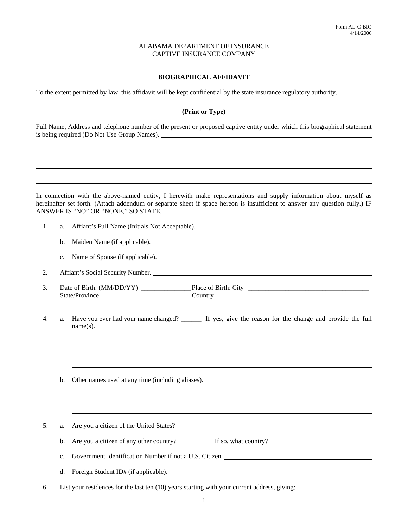# **BIOGRAPHICAL AFFIDAVIT**

To the extent permitted by law, this affidavit will be kept confidential by the state insurance regulatory authority.

# **(Print or Type)**

Full Name, Address and telephone number of the present or proposed captive entity under which this biographical statement is being required (Do Not Use Group Names).

In connection with the above-named entity, I herewith make representations and supply information about myself as hereinafter set forth. (Attach addendum or separate sheet if space hereon is insufficient to answer any question fully.) IF ANSWER IS "NO" OR "NONE," SO STATE.

| 1. | a.             |                                                                                                                          |
|----|----------------|--------------------------------------------------------------------------------------------------------------------------|
|    | b.             | Maiden Name (if applicable).                                                                                             |
|    | $\mathbf{c}$ . | Name of Spouse (if applicable).                                                                                          |
| 2. |                | Affiant's Social Security Number. Lease and the second security Number.                                                  |
| 3. |                |                                                                                                                          |
| 4. | a.             | Have you ever had your name changed? ________ If yes, give the reason for the change and provide the full<br>$name(s)$ . |
|    |                |                                                                                                                          |
|    | b.             | Other names used at any time (including aliases).                                                                        |
|    |                |                                                                                                                          |
| 5. | a.             | Are you a citizen of the United States?                                                                                  |
|    | b.             | Are you a citizen of any other country? If so, what country? If some and the set of any other country?                   |
|    | c.             |                                                                                                                          |
|    | d.             |                                                                                                                          |
| 6. |                | List your residences for the last ten (10) years starting with your current address, giving:                             |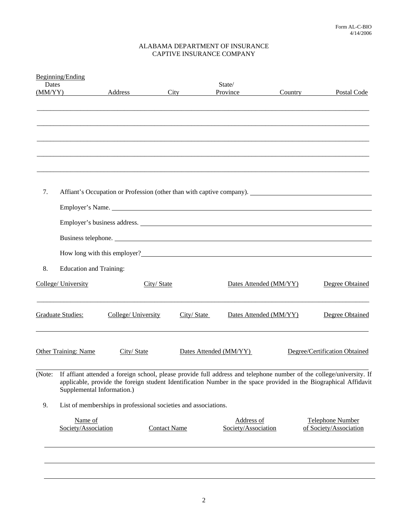|         | Beginning/Ending                                                                                                     |                     |                     |                                                                                                      |                        |                               |  |  |
|---------|----------------------------------------------------------------------------------------------------------------------|---------------------|---------------------|------------------------------------------------------------------------------------------------------|------------------------|-------------------------------|--|--|
| Dates   |                                                                                                                      |                     |                     | State/                                                                                               |                        |                               |  |  |
| (MM/YY) |                                                                                                                      | Address             | City                | Province                                                                                             | Country                | Postal Code                   |  |  |
|         |                                                                                                                      |                     |                     |                                                                                                      |                        |                               |  |  |
|         |                                                                                                                      |                     |                     |                                                                                                      |                        |                               |  |  |
|         |                                                                                                                      |                     |                     |                                                                                                      |                        |                               |  |  |
|         |                                                                                                                      |                     |                     |                                                                                                      |                        |                               |  |  |
|         |                                                                                                                      |                     |                     |                                                                                                      |                        |                               |  |  |
|         |                                                                                                                      |                     |                     |                                                                                                      |                        |                               |  |  |
|         |                                                                                                                      |                     |                     |                                                                                                      |                        |                               |  |  |
|         |                                                                                                                      |                     |                     |                                                                                                      |                        |                               |  |  |
|         |                                                                                                                      |                     |                     |                                                                                                      |                        |                               |  |  |
|         |                                                                                                                      |                     |                     |                                                                                                      |                        |                               |  |  |
| 7.      |                                                                                                                      |                     |                     | Affiant's Occupation or Profession (other than with captive company). ______________________________ |                        |                               |  |  |
|         |                                                                                                                      |                     |                     |                                                                                                      |                        |                               |  |  |
|         |                                                                                                                      |                     |                     |                                                                                                      |                        |                               |  |  |
|         |                                                                                                                      |                     |                     | Employer's business address.                                                                         |                        |                               |  |  |
|         | Business telephone.                                                                                                  |                     |                     |                                                                                                      |                        |                               |  |  |
|         |                                                                                                                      |                     |                     |                                                                                                      |                        |                               |  |  |
|         |                                                                                                                      |                     |                     | How long with this employer?                                                                         |                        |                               |  |  |
|         |                                                                                                                      |                     |                     |                                                                                                      |                        |                               |  |  |
| 8.      | <b>Education and Training:</b>                                                                                       |                     |                     |                                                                                                      |                        |                               |  |  |
|         | College/ University                                                                                                  |                     | City/State          |                                                                                                      | Dates Attended (MM/YY) | Degree Obtained               |  |  |
|         |                                                                                                                      |                     |                     |                                                                                                      |                        |                               |  |  |
|         |                                                                                                                      |                     |                     |                                                                                                      |                        |                               |  |  |
|         |                                                                                                                      |                     |                     |                                                                                                      |                        |                               |  |  |
|         | <b>Graduate Studies:</b>                                                                                             | College/ University |                     | City/State                                                                                           | Dates Attended (MM/YY) | Degree Obtained               |  |  |
|         |                                                                                                                      |                     |                     |                                                                                                      |                        |                               |  |  |
|         |                                                                                                                      |                     |                     |                                                                                                      |                        |                               |  |  |
|         | <b>Other Training: Name</b>                                                                                          | City/State          |                     | Dates Attended (MM/YY)                                                                               |                        | Degree/Certification Obtained |  |  |
|         |                                                                                                                      |                     |                     |                                                                                                      |                        |                               |  |  |
|         |                                                                                                                      |                     |                     |                                                                                                      |                        |                               |  |  |
| (Note:  | If affiant attended a foreign school, please provide full address and telephone number of the college/university. If |                     |                     |                                                                                                      |                        |                               |  |  |
|         | applicable, provide the foreign student Identification Number in the space provided in the Biographical Affidavit    |                     |                     |                                                                                                      |                        |                               |  |  |
|         | Supplemental Information.)                                                                                           |                     |                     |                                                                                                      |                        |                               |  |  |
| 9.      | List of memberships in professional societies and associations.                                                      |                     |                     |                                                                                                      |                        |                               |  |  |
|         |                                                                                                                      |                     |                     |                                                                                                      |                        |                               |  |  |
|         | Name of                                                                                                              |                     |                     | Address of                                                                                           |                        | <b>Telephone Number</b>       |  |  |
|         | Society/Association                                                                                                  |                     | <b>Contact Name</b> | Society/Association                                                                                  |                        | of Society/Association        |  |  |
|         |                                                                                                                      |                     |                     |                                                                                                      |                        |                               |  |  |
|         |                                                                                                                      |                     |                     |                                                                                                      |                        |                               |  |  |
|         |                                                                                                                      |                     |                     |                                                                                                      |                        |                               |  |  |
|         |                                                                                                                      |                     |                     |                                                                                                      |                        |                               |  |  |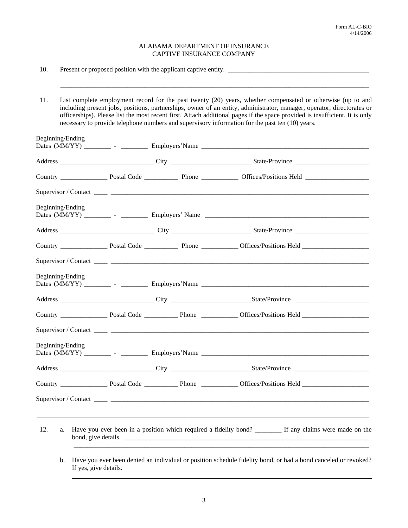10. Present or proposed position with the applicant captive entity. \_\_\_\_\_\_\_\_\_\_\_\_\_\_\_\_\_\_\_\_\_\_\_\_\_\_\_\_\_\_\_\_\_\_\_\_\_\_\_\_\_\_

 11. List complete employment record for the past twenty (20) years, whether compensated or otherwise (up to and including present jobs, positions, partnerships, owner of an entity, administrator, manager, operator, directorates or officerships). Please list the most recent first. Attach additional pages if the space provided is insufficient. It is only necessary to provide telephone numbers and supervisory information for the past ten (10) years.

 $\mathcal{L}_\mathcal{L} = \mathcal{L}_\mathcal{L} = \mathcal{L}_\mathcal{L} = \mathcal{L}_\mathcal{L} = \mathcal{L}_\mathcal{L} = \mathcal{L}_\mathcal{L} = \mathcal{L}_\mathcal{L} = \mathcal{L}_\mathcal{L} = \mathcal{L}_\mathcal{L} = \mathcal{L}_\mathcal{L} = \mathcal{L}_\mathcal{L} = \mathcal{L}_\mathcal{L} = \mathcal{L}_\mathcal{L} = \mathcal{L}_\mathcal{L} = \mathcal{L}_\mathcal{L} = \mathcal{L}_\mathcal{L} = \mathcal{L}_\mathcal{L}$ 

| Beginning/Ending |  |  |                                                                                                                |  |
|------------------|--|--|----------------------------------------------------------------------------------------------------------------|--|
|                  |  |  |                                                                                                                |  |
|                  |  |  |                                                                                                                |  |
|                  |  |  |                                                                                                                |  |
| Beginning/Ending |  |  |                                                                                                                |  |
|                  |  |  |                                                                                                                |  |
|                  |  |  |                                                                                                                |  |
|                  |  |  |                                                                                                                |  |
| Beginning/Ending |  |  |                                                                                                                |  |
|                  |  |  |                                                                                                                |  |
|                  |  |  |                                                                                                                |  |
|                  |  |  |                                                                                                                |  |
| Beginning/Ending |  |  |                                                                                                                |  |
|                  |  |  |                                                                                                                |  |
|                  |  |  |                                                                                                                |  |
|                  |  |  |                                                                                                                |  |
| 12.<br>a.        |  |  | Have you ever been in a position which required a fidelity bond? _________ If any claims were made on the      |  |
| $\mathbf{b}$ .   |  |  | Have you ever been denied an individual or position schedule fidelity bond, or had a bond canceled or revoked? |  |

If yes, give details.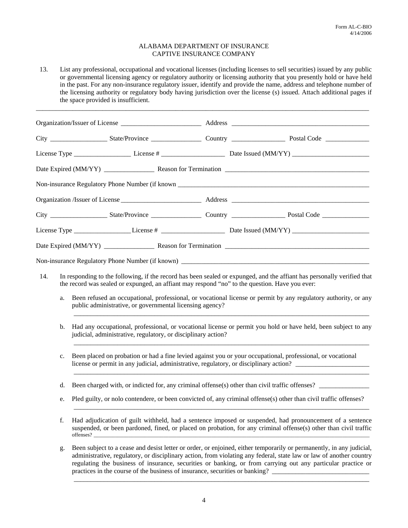13. List any professional, occupational and vocational licenses (including licenses to sell securities) issued by any public or governmental licensing agency or regulatory authority or licensing authority that you presently hold or have held in the past. For any non-insurance regulatory issuer, identify and provide the name, address and telephone number of the licensing authority or regulatory body having jurisdiction over the license (s) issued. Attach additional pages if the space provided is insufficient.

\_\_\_\_\_\_\_\_\_\_\_\_\_\_\_\_\_\_\_\_\_\_\_\_\_\_\_\_\_\_\_\_\_\_\_\_\_\_\_\_\_\_\_\_\_\_\_\_\_\_\_\_\_\_\_\_\_\_\_\_\_\_\_\_\_\_\_\_\_\_\_\_\_\_\_\_\_\_\_\_\_\_\_\_\_\_\_\_\_\_\_\_\_\_\_\_\_\_\_\_

| 14. | In responding to the following, if the record has been sealed or expunged, and the affiant has personally verified that<br>the record was sealed or expunged, an affiant may respond "no" to the question. Have you ever:                                                                                                                                                                                                                   |  |  |
|-----|---------------------------------------------------------------------------------------------------------------------------------------------------------------------------------------------------------------------------------------------------------------------------------------------------------------------------------------------------------------------------------------------------------------------------------------------|--|--|
| a.  | Been refused an occupational, professional, or vocational license or permit by any regulatory authority, or any<br>public administrative, or governmental licensing agency?                                                                                                                                                                                                                                                                 |  |  |
| b.  | Had any occupational, professional, or vocational license or permit you hold or have held, been subject to any<br>judicial, administrative, regulatory, or disciplinary action?                                                                                                                                                                                                                                                             |  |  |
| c.  | Been placed on probation or had a fine levied against you or your occupational, professional, or vocational<br>license or permit in any judicial, administrative, regulatory, or disciplinary action?                                                                                                                                                                                                                                       |  |  |
| d.  | Been charged with, or indicted for, any criminal offense(s) other than civil traffic offenses?                                                                                                                                                                                                                                                                                                                                              |  |  |
| e.  | Pled guilty, or nolo contendere, or been convicted of, any criminal offense(s) other than civil traffic offenses?                                                                                                                                                                                                                                                                                                                           |  |  |
| f.  | Had adjudication of guilt withheld, had a sentence imposed or suspended, had pronouncement of a sentence<br>suspended, or been pardoned, fined, or placed on probation, for any criminal offense(s) other than civil traffic                                                                                                                                                                                                                |  |  |
| g.  | Been subject to a cease and desist letter or order, or enjoined, either temporarily or permanently, in any judicial,<br>administrative, regulatory, or disciplinary action, from violating any federal, state law or law of another country<br>regulating the business of insurance, securities or banking, or from carrying out any particular practice or<br>practices in the course of the business of insurance, securities or banking? |  |  |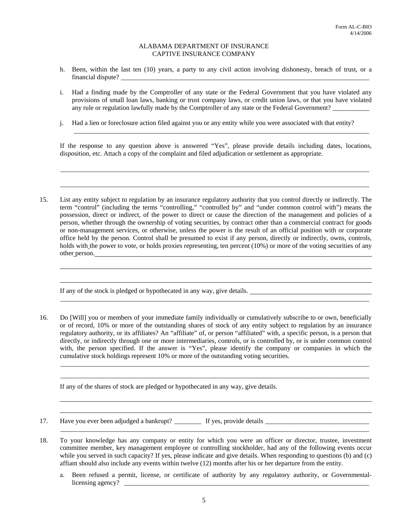- h. Been, within the last ten (10) years, a party to any civil action involving dishonesty, breach of trust, or a financial dispute?
- i. Had a finding made by the Comptroller of any state or the Federal Government that you have violated any provisions of small loan laws, banking or trust company laws, or credit union laws, or that you have violated any rule or regulation lawfully made by the Comptroller of any state or the Federal Government?
- j. Had a lien or foreclosure action filed against you or any entity while you were associated with that entity?

If the response to any question above is answered "Yes", please provide details including dates, locations, disposition, etc. Attach a copy of the complaint and filed adjudication or settlement as appropriate.

\_\_\_\_\_\_\_\_\_\_\_\_\_\_\_\_\_\_\_\_\_\_\_\_\_\_\_\_\_\_\_\_\_\_\_\_\_\_\_\_\_\_\_\_\_\_\_\_\_\_\_\_\_\_\_\_\_\_\_\_\_\_\_\_\_\_\_\_\_\_\_\_\_\_\_\_\_\_\_\_\_\_\_\_\_\_\_\_\_\_\_\_

\_\_\_\_\_\_\_\_\_\_\_\_\_\_\_\_\_\_\_\_\_\_\_\_\_\_\_\_\_\_\_\_\_\_\_\_\_\_\_\_\_\_\_\_\_\_\_\_\_\_\_\_\_\_\_\_\_\_\_\_\_\_\_\_\_\_\_\_\_\_\_\_\_\_\_\_\_\_\_\_\_\_\_\_\_\_\_\_\_\_\_\_

 $\mathcal{L}_\text{max} = \frac{1}{2} \sum_{i=1}^{n} \frac{1}{2} \sum_{i=1}^{n} \frac{1}{2} \sum_{i=1}^{n} \frac{1}{2} \sum_{i=1}^{n} \frac{1}{2} \sum_{i=1}^{n} \frac{1}{2} \sum_{i=1}^{n} \frac{1}{2} \sum_{i=1}^{n} \frac{1}{2} \sum_{i=1}^{n} \frac{1}{2} \sum_{i=1}^{n} \frac{1}{2} \sum_{i=1}^{n} \frac{1}{2} \sum_{i=1}^{n} \frac{1}{2} \sum_{i=1}^{n} \frac{1$ 

 15. List any entity subject to regulation by an insurance regulatory authority that you control directly or indirectly. The term "control" (including the terms "controlling," "controlled by" and "under common control with") means the possession, direct or indirect, of the power to direct or cause the direction of the management and policies of a person, whether through the ownership of voting securities, by contract other than a commercial contract for goods or non-management services, or otherwise, unless the power is the result of an official position with or corporate office held by the person. Control shall be presumed to exist if any person, directly or indirectly, owns, controls, holds with the power to vote, or holds proxies representing, ten percent (10%) or more of the voting securities of any other person.

If any of the stock is pledged or hypothecated in any way, give details.

 16. Do [Will] you or members of your immediate family individually or cumulatively subscribe to or own, beneficially or of record, 10% or more of the outstanding shares of stock of any entity subject to regulation by an insurance regulatory authority, or its affiliates? An "affiliate" of, or person "affiliated" with, a specific person, is a person that directly, or indirectly through one or more intermediaries, controls, or is controlled by, or is under common control with, the person specified. If the answer is "Yes", please identify the company or companies in which the cumulative stock holdings represent 10% or more of the outstanding voting securities.

\_\_\_\_\_\_\_\_\_\_\_\_\_\_\_\_\_\_\_\_\_\_\_\_\_\_\_\_\_\_\_\_\_\_\_\_\_\_\_\_\_\_\_\_\_\_\_\_\_\_\_\_\_\_\_\_\_\_\_\_\_\_\_\_\_\_\_\_\_\_\_\_\_\_\_\_\_\_\_\_\_\_\_\_\_\_\_\_\_\_\_\_

\_\_\_\_\_\_\_\_\_\_\_\_\_\_\_\_\_\_\_\_\_\_\_\_\_\_\_\_\_\_\_\_\_\_\_\_\_\_\_\_\_\_\_\_\_\_\_\_\_\_\_\_\_\_\_\_\_\_\_\_\_\_\_\_\_\_\_\_\_\_\_\_\_\_\_\_\_\_\_\_\_\_\_\_\_\_\_\_\_\_\_\_ \_\_\_\_\_\_\_\_\_\_\_\_\_\_\_\_\_\_\_\_\_\_\_\_\_\_\_\_\_\_\_\_\_\_\_\_\_\_\_\_\_\_\_\_\_\_\_\_\_\_\_\_\_\_\_\_\_\_\_\_\_\_\_\_\_\_\_\_\_\_\_\_\_\_\_\_\_\_\_\_\_\_\_\_\_\_\_\_\_\_\_\_

If any of the shares of stock are pledged or hypothecated in any way, give details.

- 17. Have you ever been adjudged a bankrupt? \_\_\_\_\_\_\_\_ If yes, provide details \_\_\_\_\_\_\_\_\_\_\_\_\_\_\_\_\_\_\_\_\_\_\_\_\_\_\_\_\_\_\_
- 18. To your knowledge has any company or entity for which you were an officer or director, trustee, investment committee member, key management employee or controlling stockholder, had any of the following events occur while you served in such capacity? If yes, please indicate and give details. When responding to questions (b) and (c) affiant should also include any events within twelve (12) months after his or her departure from the entity.
	- a. Been refused a permit, license, or certificate of authority by any regulatory authority, or Governmentallicensing agency?  $\Box$

\_\_\_\_\_\_\_\_\_\_\_\_\_\_\_\_\_\_\_\_\_\_\_\_\_\_\_\_\_\_\_\_\_\_\_\_\_\_\_\_\_\_\_\_\_\_\_\_\_\_\_\_\_\_\_\_\_\_\_\_\_\_\_\_\_\_\_\_\_\_\_\_\_\_\_\_\_\_\_\_\_\_\_\_\_\_\_\_\_\_\_\_